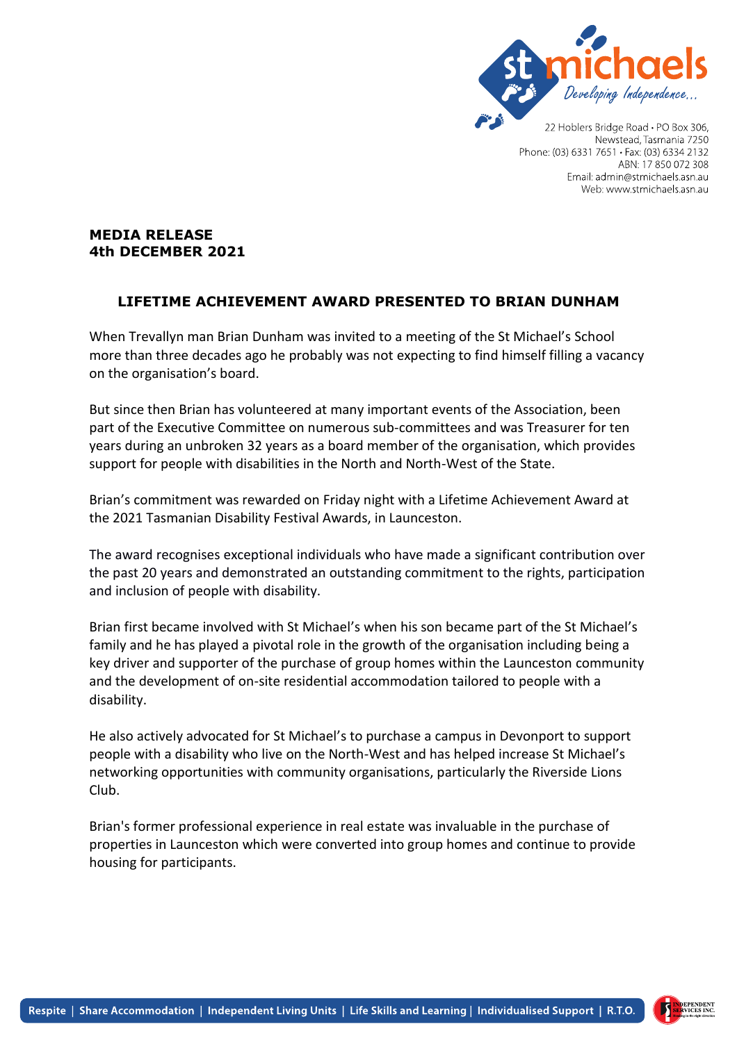

Newstead, Tasmania 7250 Phone: (03) 6331 7651 · Fax: (03) 6334 2132 ABN: 17 850 072 308 Email: admin@stmichaels.asn.au Web: www.stmichaels.asn.au

## **MEDIA RELEASE 4th DECEMBER 2021**

## **LIFETIME ACHIEVEMENT AWARD PRESENTED TO BRIAN DUNHAM**

When Trevallyn man Brian Dunham was invited to a meeting of the St Michael's School more than three decades ago he probably was not expecting to find himself filling a vacancy on the organisation's board.

But since then Brian has volunteered at many important events of the Association, been part of the Executive Committee on numerous sub-committees and was Treasurer for ten years during an unbroken 32 years as a board member of the organisation, which provides support for people with disabilities in the North and North-West of the State.

Brian's commitment was rewarded on Friday night with a Lifetime Achievement Award at the 2021 Tasmanian Disability Festival Awards, in Launceston.

The award recognises exceptional individuals who have made a significant contribution over the past 20 years and demonstrated an outstanding commitment to the rights, participation and inclusion of people with disability.

Brian first became involved with St Michael's when his son became part of the St Michael's family and he has played a pivotal role in the growth of the organisation including being a key driver and supporter of the purchase of group homes within the Launceston community and the development of on-site residential accommodation tailored to people with a disability.

He also actively advocated for St Michael's to purchase a campus in Devonport to support people with a disability who live on the North-West and has helped increase St Michael's networking opportunities with community organisations, particularly the Riverside Lions Club.

Brian's former professional experience in real estate was invaluable in the purchase of properties in Launceston which were converted into group homes and continue to provide housing for participants.